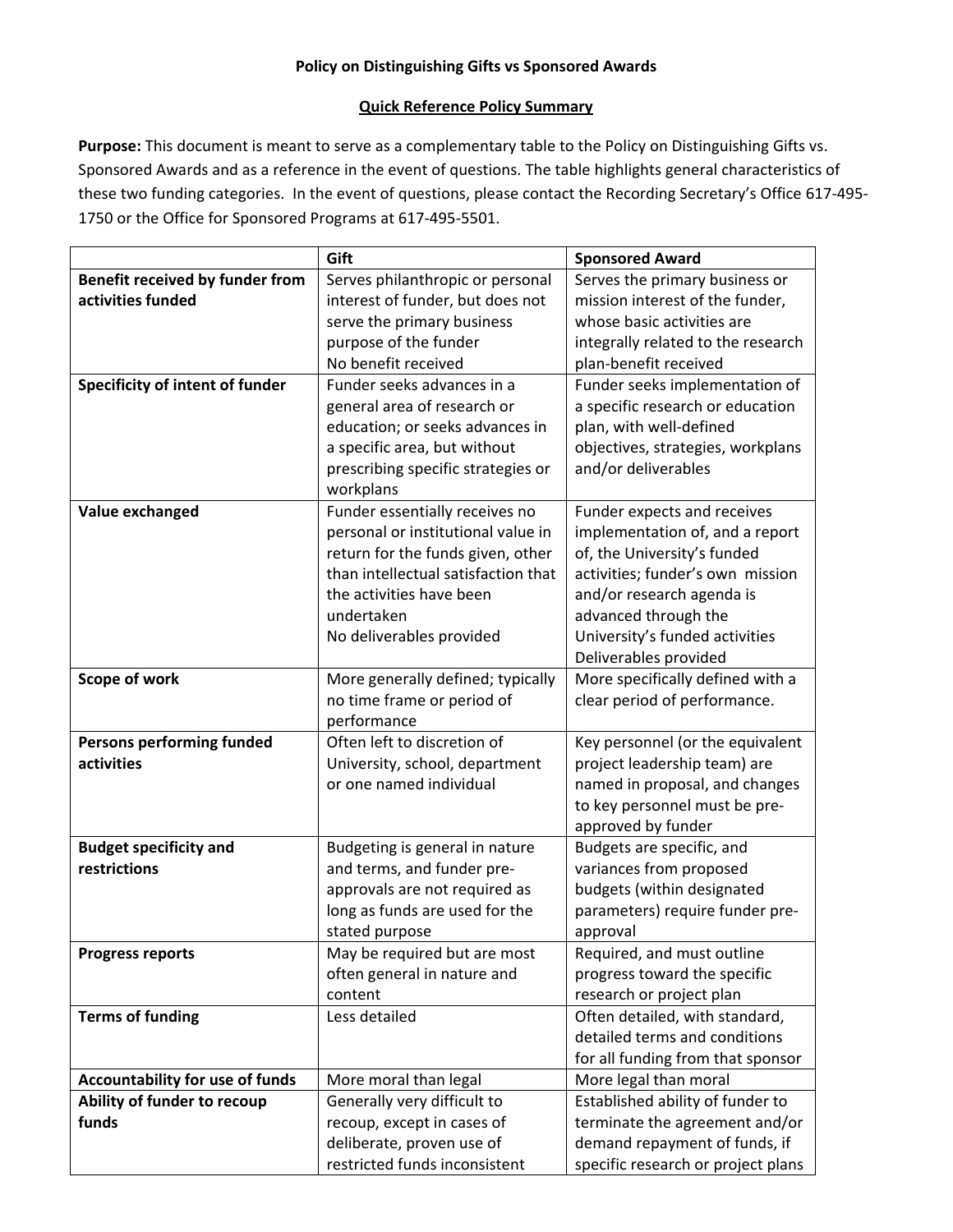## **Policy on Distinguishing Gifts vs Sponsored Awards**

## **Quick Reference Policy Summary**

**Purpose:** This document is meant to serve as a complementary table to the Policy on Distinguishing Gifts vs. Sponsored Awards and as a reference in the event of questions. The table highlights general characteristics of these two funding categories. In the event of questions, please contact the Recording Secretary's Office 617‐495‐ 1750 or the Office for Sponsored Programs at 617‐495‐5501.

|                                        | Gift                                                            | <b>Sponsored Award</b>                                        |
|----------------------------------------|-----------------------------------------------------------------|---------------------------------------------------------------|
| Benefit received by funder from        | Serves philanthropic or personal                                | Serves the primary business or                                |
| activities funded                      | interest of funder, but does not                                | mission interest of the funder,                               |
|                                        | serve the primary business                                      | whose basic activities are                                    |
|                                        | purpose of the funder                                           | integrally related to the research                            |
|                                        | No benefit received                                             | plan-benefit received                                         |
| Specificity of intent of funder        | Funder seeks advances in a                                      | Funder seeks implementation of                                |
|                                        | general area of research or                                     | a specific research or education                              |
|                                        | education; or seeks advances in                                 | plan, with well-defined                                       |
|                                        | a specific area, but without                                    | objectives, strategies, workplans                             |
|                                        | prescribing specific strategies or                              | and/or deliverables                                           |
|                                        | workplans                                                       |                                                               |
| Value exchanged                        | Funder essentially receives no                                  | Funder expects and receives                                   |
|                                        | personal or institutional value in                              | implementation of, and a report                               |
|                                        | return for the funds given, other                               | of, the University's funded                                   |
|                                        | than intellectual satisfaction that                             | activities; funder's own mission                              |
|                                        | the activities have been                                        | and/or research agenda is                                     |
|                                        | undertaken                                                      | advanced through the                                          |
|                                        | No deliverables provided                                        | University's funded activities                                |
|                                        |                                                                 | Deliverables provided                                         |
| Scope of work                          | More generally defined; typically                               | More specifically defined with a                              |
|                                        | no time frame or period of                                      | clear period of performance.                                  |
|                                        | performance                                                     |                                                               |
| Persons performing funded              | Often left to discretion of                                     | Key personnel (or the equivalent                              |
| activities                             | University, school, department                                  | project leadership team) are                                  |
|                                        | or one named individual                                         | named in proposal, and changes                                |
|                                        |                                                                 | to key personnel must be pre-                                 |
|                                        |                                                                 | approved by funder                                            |
| <b>Budget specificity and</b>          | Budgeting is general in nature                                  | Budgets are specific, and                                     |
| restrictions                           | and terms, and funder pre-                                      | variances from proposed                                       |
|                                        | approvals are not required as<br>long as funds are used for the | budgets (within designated<br>parameters) require funder pre- |
|                                        | stated purpose                                                  | approval                                                      |
| <b>Progress reports</b>                | May be required but are most                                    | Required, and must outline                                    |
|                                        | often general in nature and                                     | progress toward the specific                                  |
|                                        | content                                                         | research or project plan                                      |
| <b>Terms of funding</b>                | Less detailed                                                   | Often detailed, with standard,                                |
|                                        |                                                                 | detailed terms and conditions                                 |
|                                        |                                                                 | for all funding from that sponsor                             |
| <b>Accountability for use of funds</b> | More moral than legal                                           | More legal than moral                                         |
| Ability of funder to recoup            | Generally very difficult to                                     | Established ability of funder to                              |
| funds                                  | recoup, except in cases of                                      | terminate the agreement and/or                                |
|                                        | deliberate, proven use of                                       | demand repayment of funds, if                                 |
|                                        | restricted funds inconsistent                                   | specific research or project plans                            |